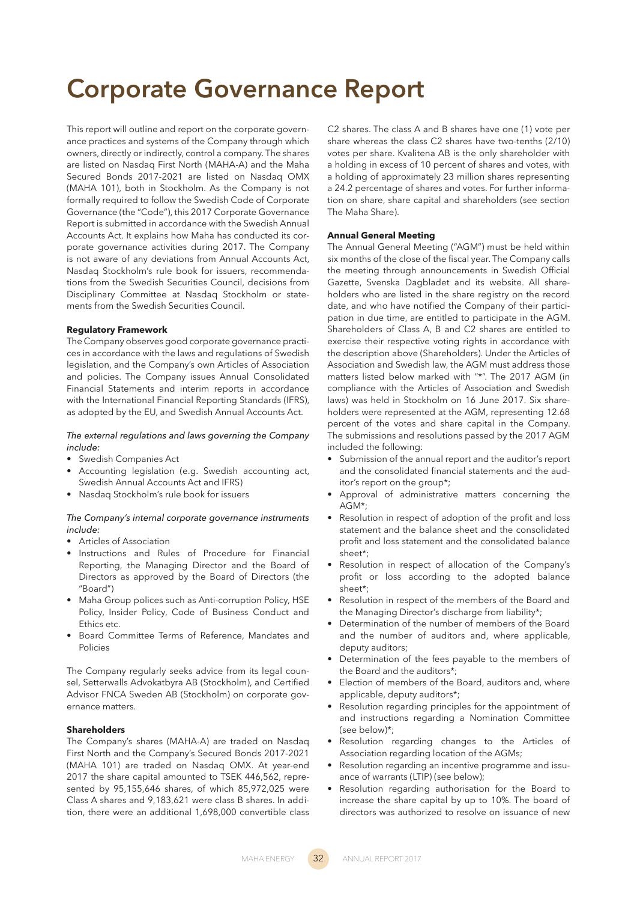# **Corporate Governance Report**

This report will outline and report on the corporate governance practices and systems of the Company through which owners, directly or indirectly, control a company. The shares are listed on Nasdaq First North (MAHA-A) and the Maha Secured Bonds 2017-2021 are listed on Nasdaq OMX (MAHA 101), both in Stockholm. As the Company is not formally required to follow the Swedish Code of Corporate Governance (the "Code"), this 2017 Corporate Governance Report is submitted in accordance with the Swedish Annual Accounts Act. It explains how Maha has conducted its corporate governance activities during 2017. The Company is not aware of any deviations from Annual Accounts Act, Nasdaq Stockholm's rule book for issuers, recommendations from the Swedish Securities Council, decisions from Disciplinary Committee at Nasdaq Stockholm or statements from the Swedish Securities Council.

# **Requlatory Framework**

The Company observes good corporate governance practices in accordance with the laws and regulations of Swedish legislation, and the Company's own Articles of Association and policies. The Company issues Annual Consolidated Financial Statements and interim reports in accordance with the International Financial Reporting Standards (IFRS), as adopted by the EU, and Swedish Annual Accounts Act.

## *The external regulations and laws governing the Company include:*

- Swedish Companies Act
- Accounting legislation (e.g. Swedish accounting act, Swedish Annual Accounts Act and IFRS)
- Nasdaq Stockholm's rule book for issuers

# *The Company's internal corporate governance instruments include:*

- Articles of Association
- Instructions and Rules of Procedure for Financial Reporting, the Managing Director and the Board of Directors as approved by the Board of Directors (the "Board")
- Maha Group polices such as Anti-corruption Policy, HSE Policy, Insider Policy, Code of Business Conduct and Ethics etc.
- Board Committee Terms of Reference, Mandates and Policies

The Company regularly seeks advice from its legal counsel, Setterwalls Advokatbyra AB (Stockholm), and Certified Advisor FNCA Sweden AB (Stockholm) on corporate governance matters.

# **Shareholders**

The Company's shares (MAHA-A) are traded on Nasdaq First North and the Company's Secured Bonds 2017-2021 (MAHA 101) are traded on Nasdaq OMX. At year-end 2017 the share capital amounted to TSEK 446,562, represented by 95,155,646 shares, of which 85,972,025 were Class A shares and 9,183,621 were class B shares. In addition, there were an additional 1,698,000 convertible class

C2 shares. The class A and B shares have one (1) vote per share whereas the class C2 shares have two-tenths (2/10) votes per share. Kvalitena AB is the only shareholder with a holding in excess of 10 percent of shares and votes, with a holding of approximately 23 million shares representing a 24.2 percentage of shares and votes. For further information on share, share capital and shareholders (see section The Maha Share).

# **Annual General Meeting**

The Annual General Meeting ("AGM") must be held within six months of the close of the fiscal year. The Company calls the meeting through announcements in Swedish Official Gazette, Svenska Dagbladet and its website. All shareholders who are listed in the share registry on the record date, and who have notified the Company of their participation in due time, are entitled to participate in the AGM. Shareholders of Class A, B and C2 shares are entitled to exercise their respective voting rights in accordance with the description above (Shareholders). Under the Articles of Association and Swedish law, the AGM must address those matters listed below marked with "\*". The 2017 AGM (in compliance with the Articles of Association and Swedish laws) was held in Stockholm on 16 June 2017. Six shareholders were represented at the AGM, representing 12.68 percent of the votes and share capital in the Company. The submissions and resolutions passed by the 2017 AGM included the following:

- Submission of the annual report and the auditor's report and the consolidated financial statements and the auditor's report on the group\*;
- Approval of administrative matters concerning the AGM\*;
- Resolution in respect of adoption of the profit and loss statement and the balance sheet and the consolidated profit and loss statement and the consolidated balance sheet\*;
- Resolution in respect of allocation of the Company's profit or loss according to the adopted balance sheet\*;
- Resolution in respect of the members of the Board and the Managing Director's discharge from liability\*;
- Determination of the number of members of the Board and the number of auditors and, where applicable, deputy auditors;
- Determination of the fees payable to the members of the Board and the auditors\*;
- Election of members of the Board, auditors and, where applicable, deputy auditors\*;
- Resolution regarding principles for the appointment of and instructions regarding a Nomination Committee (see below)\*;
- Resolution regarding changes to the Articles of Association regarding location of the AGMs;
- Resolution regarding an incentive programme and issuance of warrants (LTIP) (see below);
- Resolution regarding authorisation for the Board to increase the share capital by up to 10%. The board of directors was authorized to resolve on issuance of new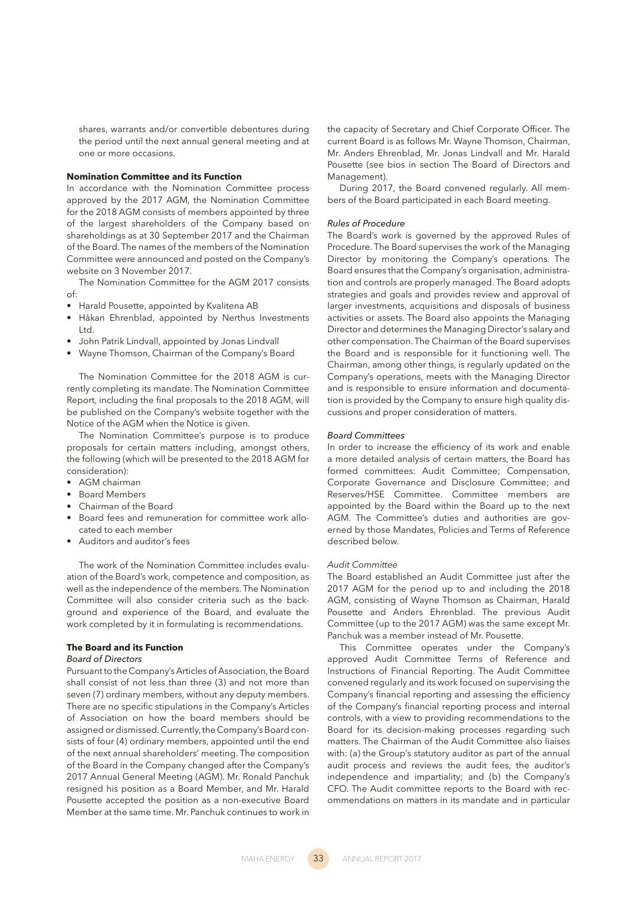shares, warrants and/or convertible debentures during the period until the next annual general meeting and at one or more occasions.

#### **Nomination Committee and its Function**

In accordance with the Nomination Committee process approved by the 2017 AGM, the Nomination Committee for the 2018 AGM consists of members appointed by three of the largest shareholders of the Company based on shareholdings as at 30 September 2017 and the Chairman of the Board. The names of the members of the Nomination Committee were announced and posted on the Company's website on 3 November 2017.

The Nomination Committee for the AGM 2017 consists of:

- Harald Pousette, appointed by Kvalitena AB
- Håkan Ehrenblad, appointed by Nerthus Investments Ltd.
- John Patrik Lindvall, appointed by Jonas Lindvall
- Wayne Thomson, Chairman of the Company's Board

The Nomination Committee for the 2018 AGM is currently completing its mandate. The Nomination Committee Report, including the final proposals to the 2018 AGM, will be published on the Company's website together with the Notice of the AGM when the Notice is given.

The Nomination Committee's purpose is to produce proposals for certain matters including, amongst others, the following (which will be presented to the 2018 AGM for consideration):

- AGM chairman
- Board Members
- Chairman of the Board
- Board fees and remuneration for committee work allocated to each member
- Auditors and auditor's fees

The work of the Nomination Committee includes evaluation of the Board's work, competence and composition, as well as the independence of the members. The Nomination Committee will also consider criteria such as the background and experience of the Board, and evaluate the work completed by it in formulating is recommendations.

# **The Board and its Function**

# *Board of Directors*

Pursuant to the Company's Articles of Association, the Board shall consist of not less than three (3) and not more than seven (7) ordinary members, without any deputy members. There are no specific stipulations in the Company's Articles of Association on how the board members should be assigned or dismissed. Currently, the Company's Board consists of four (4) ordinary members, appointed until the end of the next annual shareholders' meeting. The composition of the Board in the Company changed after the Company's 2017 Annual General Meeting (AGM). Mr. Ronald Panchuk resigned his position as a Board Member, and Mr. Harald Pousette accepted the position as a non-executive Board Member at the same time. Mr. Panchuk continues to work in

the capacity of Secretary and Chief Corporate Officer. The current Board is as follows Mr. Wayne Thomson, Chairman, Mr. Anders Ehrenblad, Mr. Jonas Lindvall and Mr. Harald Pousette (see bios in section The Board of Directors and Management).

During 2017, the Board convened regularly. All members of the Board participated in each Board meeting.

#### *Rules of Procedure*

The Board's work is governed by the approved Rules of Procedure. The Board supervises the work of the Managing Director by monitoring the Company's operations. The Board ensures that the Company's organisation, administration and controls are properly managed. The Board adopts strategies and goals and provides review and approval of larger investments, acquisitions and disposals of business activities or assets. The Board also appoints the Managing Director and determines the Managing Director's salary and other compensation. The Chairman of the Board supervises the Board and is responsible for it functioning well. The Chairman, among other things, is regularly updated on the Company's operations, meets with the Managing Director and is responsible to ensure information and documentation is provided by the Company to ensure high quality discussions and proper consideration of matters.

#### *Board Committees*

In order to increase the efficiency of its work and enable a more detailed analysis of certain matters, the Board has formed committees: Audit Committee; Compensation, Corporate Governance and Disclosure Committee; and Reserves/HSE Committee. Committee members are appointed by the Board within the Board up to the next AGM. The Committee's duties and authorities are governed by those Mandates, Policies and Terms of Reference described below.

# *Audit Committee*

The Board established an Audit Committee just after the 2017 AGM for the period up to and including the 2018 AGM, consisting of Wayne Thomson as Chairman, Harald Pousette and Anders Ehrenblad. The previous Audit Committee (up to the 2017 AGM) was the same except Mr. Panchuk was a member instead of Mr. Pousette.

This Committee operates under the Company's approved Audit Committee Terms of Reference and Instructions of Financial Reporting. The Audit Committee convened regularly and its work focused on supervising the Company's financial reporting and assessing the efficiency of the Company's financial reporting process and internal controls, with a view to providing recommendations to the Board for its decision-making processes regarding such matters. The Chairman of the Audit Committee also liaises with: (a) the Group's statutory auditor as part of the annual audit process and reviews the audit fees, the auditor's independence and impartiality; and (b) the Company's CFO. The Audit committee reports to the Board with recommendations on matters in its mandate and in particular